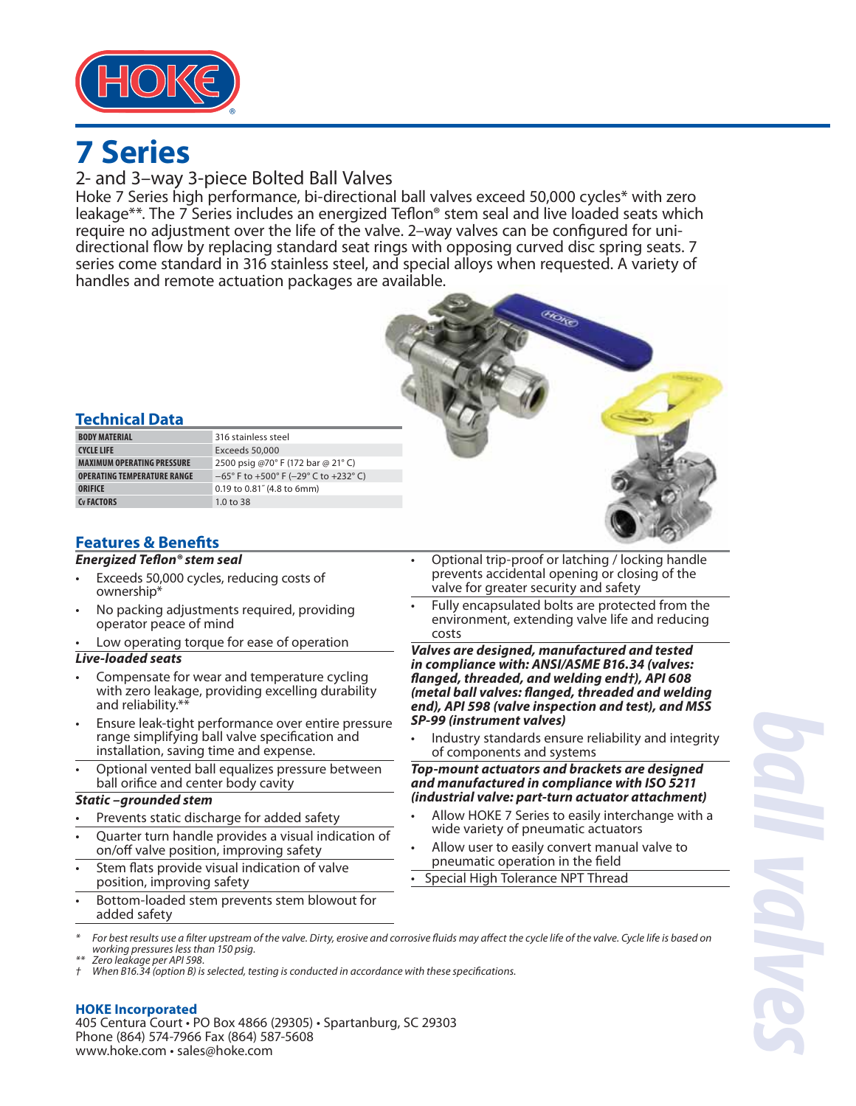

## 2- and 3–way 3-piece Bolted Ball Valves

Hoke 7 Series high performance, bi-directional ball valves exceed 50,000 cycles\* with zero leakage\*\*. The 7 Series includes an energized Teflon® stem seal and live loaded seats which require no adjustment over the life of the valve. 2–way valves can be configured for unidirectional flow by replacing standard seat rings with opposing curved disc spring seats. 7 series come standard in 316 stainless steel, and special alloys when requested. A variety of handles and remote actuation packages are available.



## **Technical Data**

| <b>BODY MATERIAL</b>               | 316 stainless steel                            |
|------------------------------------|------------------------------------------------|
| <b>CYCLE LIFE</b>                  | Exceeds 50,000                                 |
| <b>MAXIMUM OPERATING PRESSURE</b>  | 2500 psig @70° F (172 bar @ 21° C)             |
| <b>OPERATING TEMPERATURE RANGE</b> | $-65^{\circ}$ F to +500° F (-29° C to +232° C) |
| ORIFICE                            | 0.19 to 0.81" (4.8 to 6mm)                     |
| Cy FACTORS                         | 1.0 to $38$                                    |

## **Features & Benefits**

### *Energized Teflon® stem seal*

- Exceeds 50,000 cycles, reducing costs of ownership\*
- No packing adjustments required, providing operator peace of mind
- Low operating torque for ease of operation

### *Live-loaded seats*

- Compensate for wear and temperature cycling with zero leakage, providing excelling durability and reliability.\*\*
- Ensure leak-tight performance over entire pressure range simplifying ball valve specification and installation, saving time and expense.
- Optional vented ball equalizes pressure between ball orifice and center body cavity

### *Static –grounded stem*

- Prevents static discharge for added safety
- Quarter turn handle provides a visual indication of on/off valve position, improving safety
- Stem flats provide visual indication of valve position, improving safety
- Bottom-loaded stem prevents stem blowout for added safety
- Optional trip-proof or latching / locking handle prevents accidental opening or closing of the valve for greater security and safety
- Fully encapsulated bolts are protected from the environment, extending valve life and reducing costs

*Valves are designed, manufactured and tested in compliance with: ANSI/ASME B16.34 (valves: fl anged, threaded, and welding end†), API 608 (metal ball valves: fl anged, threaded and welding end), API 598 (valve inspection and test), and MSS SP-99 (instrument valves)*

• Industry standards ensure reliability and integrity of components and systems

*Top-mount actuators and brackets are designed and manufactured in compliance with ISO 5211 (industrial valve: part-turn actuator attachment)*

- Allow HOKE 7 Series to easily interchange with a wide variety of pneumatic actuators
- Allow user to easily convert manual valve to pneumatic operation in the field

Special High Tolerance NPT Thread

*ball valves*

- For best results use a filter upstream of the valve. Dirty, erosive and corrosive fluids may affect the cycle life of the valve. Cycle life is based on working pressures less than 150 psig.
- \*\* Zero leakage per API 598.
- When B16.34 (option B) is selected, testing is conducted in accordance with these specifications.

## **HOKE Incorporated**

405 Centura Court • PO Box 4866 (29305) • Spartanburg, SC 29303 Phone (864) 574-7966 Fax (864) 587-5608 www.hoke.com • sales@hoke.com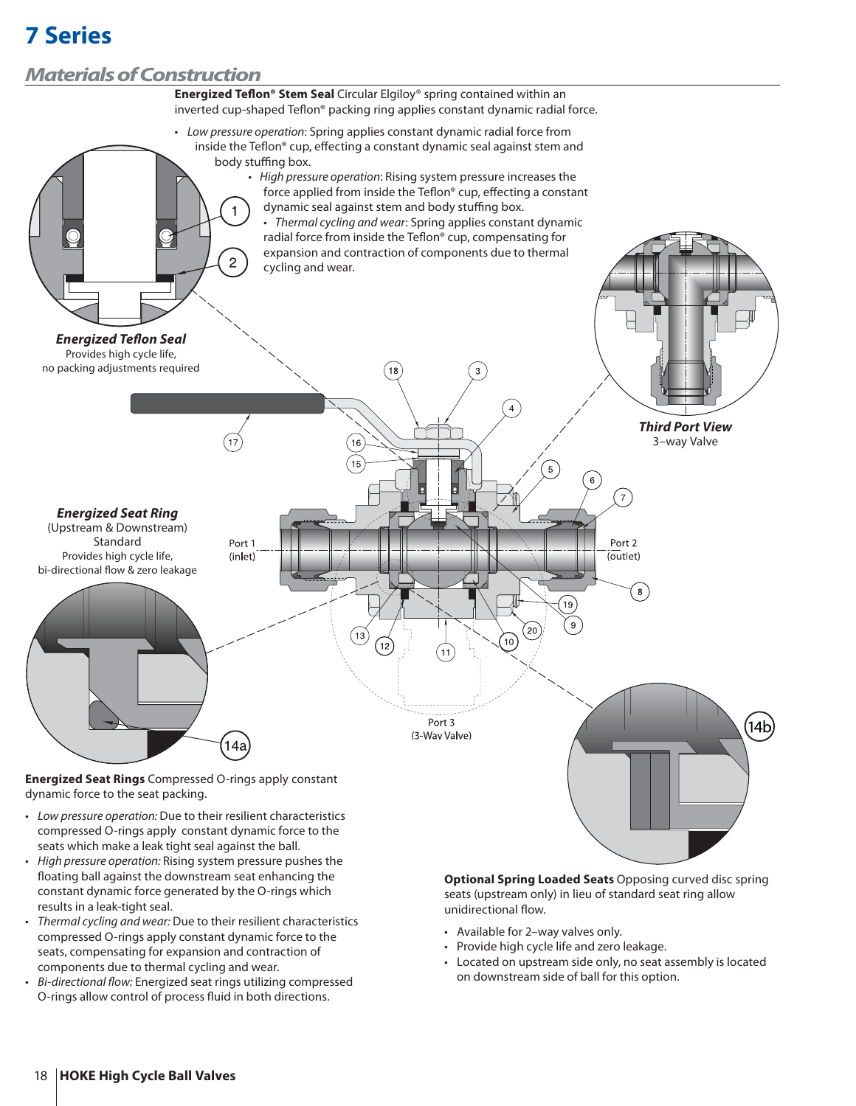## *Materials of Construction*



- compressed O-rings apply constant dynamic force to the seats which make a leak tight seal against the ball.
- High pressure operation: Rising system pressure pushes the floating ball against the downstream seat enhancing the constant dynamic force generated by the O-rings which results in a leak-tight seal.
- Thermal cycling and wear: Due to their resilient characteristics compressed O-rings apply constant dynamic force to the seats, compensating for expansion and contraction of components due to thermal cycling and wear.
- Bi-directional flow: Energized seat rings utilizing compressed O-rings allow control of process fluid in both directions.

**Optional Spring Loaded Seats** Opposing curved disc spring seats (upstream only) in lieu of standard seat ring allow unidirectional flow.

- Available for 2–way valves only.
- Provide high cycle life and zero leakage.
- Located on upstream side only, no seat assembly is located on downstream side of ball for this option.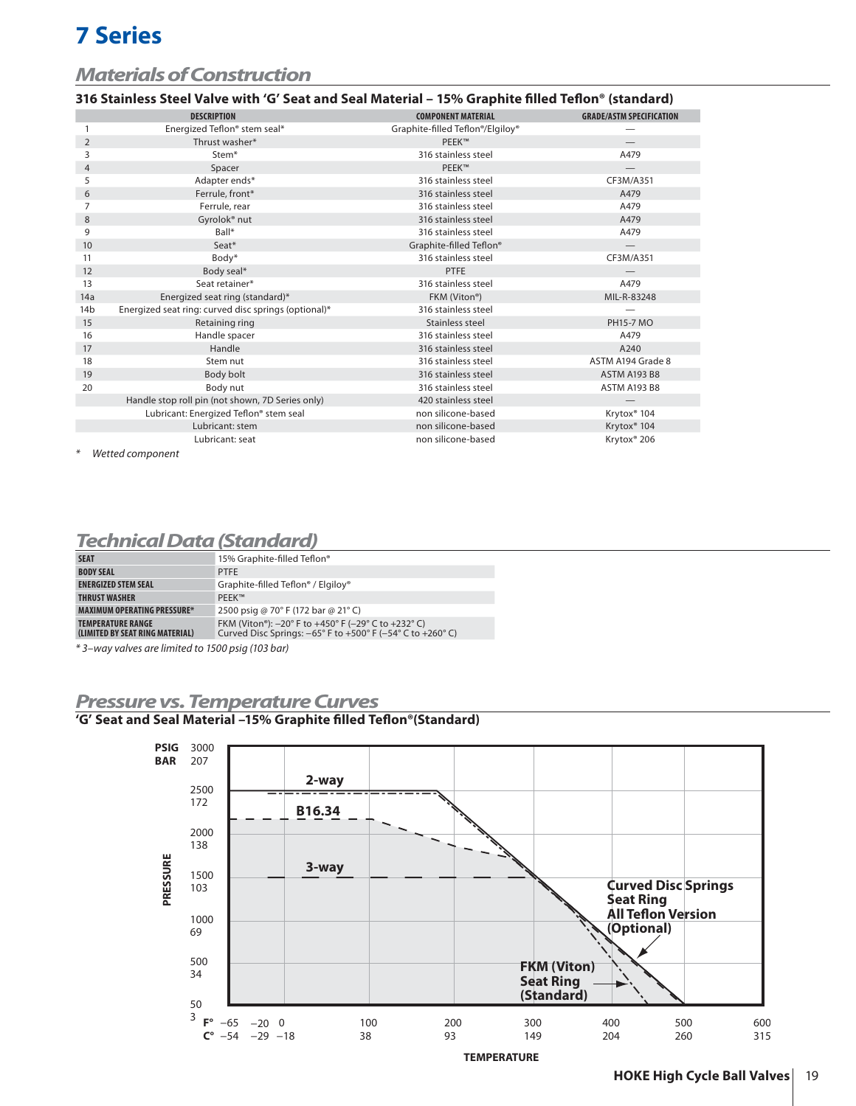# *Materials of Construction*

### **316 Stainless Steel Valve with 'G' Seat and Seal Material – 15% Graphite fi lled Tefl on® (standard)**

|                 | <b>DESCRIPTION</b>                                   | <b>COMPONENT MATERIAL</b>        | <b>GRADE/ASTM SPECIFICATION</b> |
|-----------------|------------------------------------------------------|----------------------------------|---------------------------------|
|                 | Energized Teflon® stem seal*                         | Graphite-filled Teflon®/Elgiloy® |                                 |
| 2               | Thrust washer*                                       | PEEK™                            |                                 |
| 3               | Stem*                                                | 316 stainless steel              | A479                            |
| $\overline{4}$  | Spacer                                               | PEEK™                            |                                 |
| 5               | Adapter ends*                                        | 316 stainless steel              | CF3M/A351                       |
| 6               | Ferrule, front*                                      | 316 stainless steel              | A479                            |
| 7               | Ferrule, rear                                        | 316 stainless steel              | A479                            |
| 8               | Gyrolok <sup>®</sup> nut                             | 316 stainless steel              | A479                            |
| 9               | Ball*                                                | 316 stainless steel              | A479                            |
| 10              | Seat*                                                | Graphite-filled Teflon®          | $\overline{\phantom{0}}$        |
| 11              | Body*                                                | 316 stainless steel              | CF3M/A351                       |
| 12              | Body seal*                                           | <b>PTFE</b>                      |                                 |
| 13              | Seat retainer*                                       | 316 stainless steel              | A479                            |
| 14a             | Energized seat ring (standard)*                      | FKM (Viton®)                     | MIL-R-83248                     |
| 14 <sub>b</sub> | Energized seat ring: curved disc springs (optional)* | 316 stainless steel              |                                 |
| 15              | Retaining ring                                       | Stainless steel                  | <b>PH15-7 MO</b>                |
| 16              | Handle spacer                                        | 316 stainless steel              | A479                            |
| 17              | Handle                                               | 316 stainless steel              | A240                            |
| 18              | Stem nut                                             | 316 stainless steel              | ASTM A194 Grade 8               |
| 19              | Body bolt                                            | 316 stainless steel              | <b>ASTM A193 B8</b>             |
| 20              | Body nut                                             | 316 stainless steel              | <b>ASTM A193 B8</b>             |
|                 | Handle stop roll pin (not shown, 7D Series only)     | 420 stainless steel              |                                 |
|                 | Lubricant: Energized Teflon® stem seal               | non silicone-based               | Krytox <sup>®</sup> 104         |
|                 | Lubricant: stem                                      | non silicone-based               | Krytox <sup>®</sup> 104         |
|                 | Lubricant: seat                                      | non silicone-based               | Krytox <sup>®</sup> 206         |
|                 |                                                      |                                  |                                 |

Wetted component

## *Technical Data (Standard)*

| <b>SEAT</b>                                                 | 15% Graphite-filled Teflon®                                                                                                                            |
|-------------------------------------------------------------|--------------------------------------------------------------------------------------------------------------------------------------------------------|
| <b>BODY SEAL</b>                                            | <b>PTFE</b>                                                                                                                                            |
| <b>ENERGIZED STEM SEAL</b>                                  | Graphite-filled Teflon® / Elgiloy®                                                                                                                     |
| <b>THRUST WASHER</b>                                        | PFFK™                                                                                                                                                  |
| <b>MAXIMUM OPERATING PRESSURE*</b>                          | 2500 psig @ 70° F (172 bar @ 21° C)                                                                                                                    |
| <b>TEMPERATURE RANGE</b><br>(LIMITED BY SEAT RING MATERIAL) | FKM (Viton®): -20° F to +450° F (-29° C to +232° C)<br>Curved Disc Springs: $-65^{\circ}$ F to $+500^{\circ}$ F ( $-54^{\circ}$ C to $+260^{\circ}$ C) |
|                                                             |                                                                                                                                                        |

\* 3–way valves are limited to 1500 psig (103 bar)

## *Pressure vs. Temperature Curves*

### <sup>1</sup>G' Seat and Seal Material -15% Graphite filled Teflon®(Standard)

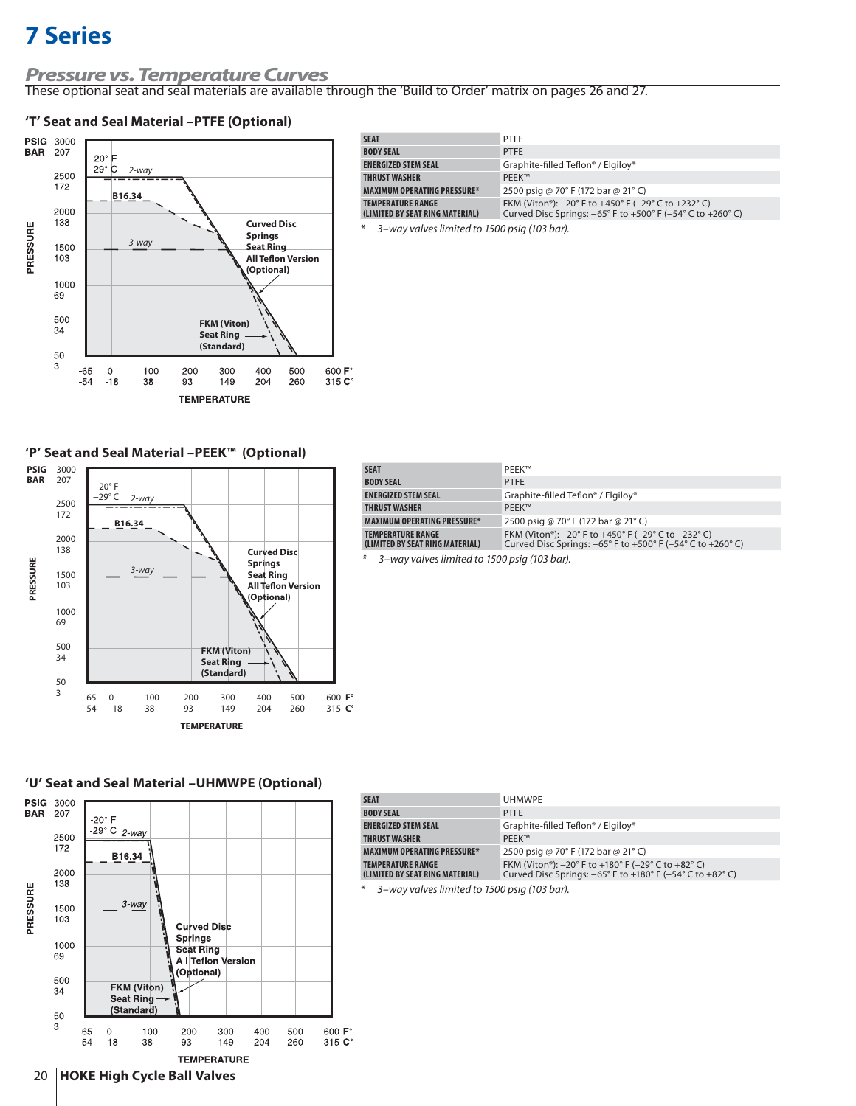# *Pressure vs. Temperature Curves*

These optional seat and seal materials are available through the 'Build to Order' matrix on pages 26 and 27.

### **'T' Seat and Seal Material –PTFE (Optional)**



| <b>SEAT</b>                                          | <b>PTFE</b>                                                                                                                                            |
|------------------------------------------------------|--------------------------------------------------------------------------------------------------------------------------------------------------------|
| <b>BODY SEAL</b>                                     | <b>PTFE</b>                                                                                                                                            |
| <b>ENERGIZED STEM SEAL</b>                           | Graphite-filled Teflon <sup>®</sup> / Elgiloy <sup>®</sup>                                                                                             |
| THRUST WASHER                                        | PFFK™                                                                                                                                                  |
| <b>MAXIMUM OPERATING PRESSURE*</b>                   | 2500 psig @ 70° F (172 bar @ 21° C)                                                                                                                    |
| TEMPERATURE RANGE<br>(LIMITED BY SEAT RING MATERIAL) | FKM (Viton®): -20° F to +450° F (-29° C to +232° C)<br>Curved Disc Springs: $-65^{\circ}$ F to $+500^{\circ}$ F ( $-54^{\circ}$ C to $+260^{\circ}$ C) |
| 4 3-way valves limited to 1500 psig (103 bar).       |                                                                                                                                                        |

**'P' Seat and Seal Material –PEEK™ (Optional)**



| <b>SEAT</b>                                                 | <b>PFFK™</b>                                                                                                                                                                                |
|-------------------------------------------------------------|---------------------------------------------------------------------------------------------------------------------------------------------------------------------------------------------|
| <b>BODY SEAL</b>                                            | <b>PTFE</b>                                                                                                                                                                                 |
| <b>ENERGIZED STEM SEAL</b>                                  | Graphite-filled Teflon <sup>®</sup> / Elgiloy <sup>®</sup>                                                                                                                                  |
| <b>THRUST WASHER</b>                                        | PFFK™                                                                                                                                                                                       |
| <b>MAXIMUM OPERATING PRESSURE*</b>                          | 2500 psig @ 70° F (172 bar @ 21° C)                                                                                                                                                         |
| <b>TEMPERATURE RANGE</b><br>(LIMITED BY SEAT RING MATERIAL) | FKM (Viton®): $-20^{\circ}$ F to $+450^{\circ}$ F ( $-29^{\circ}$ C to $+232^{\circ}$ C)<br>Curved Disc Springs: $-65^{\circ}$ F to $+500^{\circ}$ F ( $-54^{\circ}$ C to $+260^{\circ}$ C) |
| $*$ 2 usualized instead to 1500 sets (102 kesk              |                                                                                                                                                                                             |

3–way valves limited to 1500 psig (103 bar).

### **'U' Seat and Seal Material –UHMWPE (Optional)**



| <b>SEAT</b>                                                 | <b>UHMWPE</b>                                                                                                                                                                                          |
|-------------------------------------------------------------|--------------------------------------------------------------------------------------------------------------------------------------------------------------------------------------------------------|
| <b>BODY SEAL</b>                                            | <b>PTFE</b>                                                                                                                                                                                            |
| <b>ENERGIZED STEM SEAL</b>                                  | Graphite-filled Teflon <sup>®</sup> / Elgiloy <sup>®</sup>                                                                                                                                             |
| <b>THRUST WASHER</b>                                        | PFFK™                                                                                                                                                                                                  |
| <b>MAXIMUM OPERATING PRESSURE*</b>                          | 2500 psig @ 70° F (172 bar @ 21° C)                                                                                                                                                                    |
| <b>TEMPERATURE RANGE</b><br>(LIMITED BY SEAT RING MATERIAL) | FKM (Viton <sup>®</sup> ): $-20^{\circ}$ F to $+180^{\circ}$ F ( $-29^{\circ}$ C to $+82^{\circ}$ C)<br>Curved Disc Springs: $-65^{\circ}$ F to $+180^{\circ}$ F ( $-54^{\circ}$ C to $+82^{\circ}$ C) |

3-way valves limited to 1500 psig (103 bar).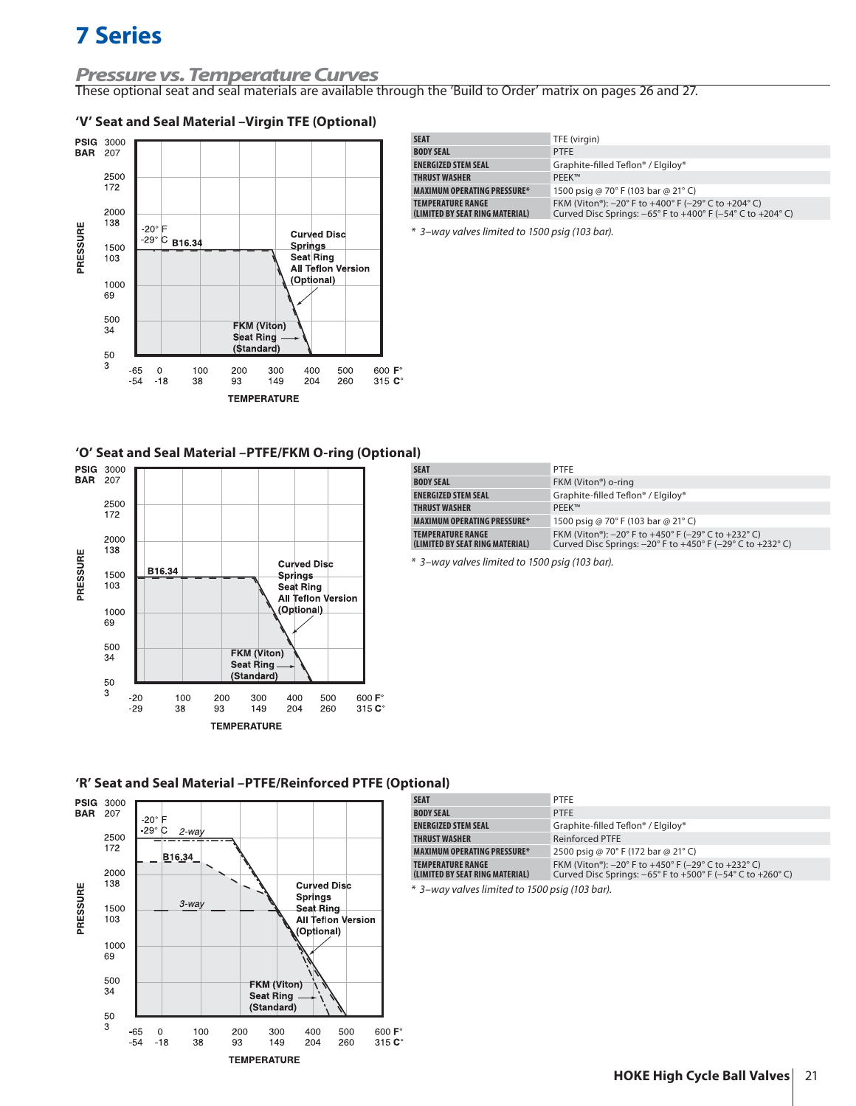# *Pressure vs. Temperature Curves*

These optional seat and seal materials are available through the 'Build to Order' matrix on pages 26 and 27.

### **'V' Seat and Seal Material –Virgin TFE (Optional)**



| <b>SEAT</b>                                                 | TFE (virgin)                                                                                                                                                                                |
|-------------------------------------------------------------|---------------------------------------------------------------------------------------------------------------------------------------------------------------------------------------------|
| <b>BODY SEAL</b>                                            | <b>PTFF</b>                                                                                                                                                                                 |
| <b>ENERGIZED STEM SEAL</b>                                  | Graphite-filled Teflon® / Elgiloy®                                                                                                                                                          |
| <b>THRUST WASHER</b>                                        | PFFK™                                                                                                                                                                                       |
| <b>MAXIMUM OPERATING PRESSURE*</b>                          | 1500 psig @ 70° F (103 bar @ 21° C)                                                                                                                                                         |
| <b>TEMPERATURE RANGE</b><br>(LIMITED BY SEAT RING MATERIAL) | FKM (Viton®): $-20^{\circ}$ F to $+400^{\circ}$ F ( $-29^{\circ}$ C to $+204^{\circ}$ C)<br>Curved Disc Springs: $-65^{\circ}$ F to $+400^{\circ}$ F ( $-54^{\circ}$ C to $+204^{\circ}$ C) |

\* 3–way valves limited to 1500 psig (103 bar).

#### **'O' Seat and Seal Material –PTFE/FKM O-ring (Optional)**



| <b>SEAT</b>                                                 | PTFE                                                                                                                                                                                                     |
|-------------------------------------------------------------|----------------------------------------------------------------------------------------------------------------------------------------------------------------------------------------------------------|
| <b>BODY SEAL</b>                                            | FKM (Viton <sup>®</sup> ) o-ring                                                                                                                                                                         |
| <b>ENERGIZED STEM SEAL</b>                                  | Graphite-filled Teflon® / Elgiloy®                                                                                                                                                                       |
| <b>THRUST WASHER</b>                                        | PFFK™                                                                                                                                                                                                    |
| <b>MAXIMUM OPERATING PRESSURE*</b>                          | 1500 psig @ 70° F (103 bar @ 21° C)                                                                                                                                                                      |
| <b>TEMPERATURE RANGE</b><br>(LIMITED BY SEAT RING MATERIAL) | FKM (Viton <sup>®</sup> ): $-20^{\circ}$ F to $+450^{\circ}$ F ( $-29^{\circ}$ C to $+232^{\circ}$ C)<br>Curved Disc Springs: $-20^{\circ}$ F to $+450^{\circ}$ F ( $-29^{\circ}$ C to $+232^{\circ}$ C) |

\* 3–way valves limited to 1500 psig (103 bar).





| uvuu                                                        |                                                                                                                                                        |
|-------------------------------------------------------------|--------------------------------------------------------------------------------------------------------------------------------------------------------|
| <b>SEAT</b>                                                 | PTFE                                                                                                                                                   |
| <b>BODY SEAL</b>                                            | <b>PTFE</b>                                                                                                                                            |
| <b>ENERGIZED STEM SEAL</b>                                  | Graphite-filled Teflon <sup>®</sup> / Elgiloy <sup>®</sup>                                                                                             |
| <b>THRUST WASHER</b>                                        | <b>Reinforced PTFE</b>                                                                                                                                 |
| <b>MAXIMUM OPERATING PRESSURE*</b>                          | 2500 psig @ 70° F (172 bar @ 21° C)                                                                                                                    |
| <b>TEMPERATURE RANGE</b><br>(LIMITED BY SEAT RING MATERIAL) | FKM (Viton®): -20° F to +450° F (-29° C to +232° C)<br>Curved Disc Springs: $-65^{\circ}$ F to $+500^{\circ}$ F ( $-54^{\circ}$ C to $+260^{\circ}$ C) |

\* 3–way valves limited to 1500 psig (103 bar).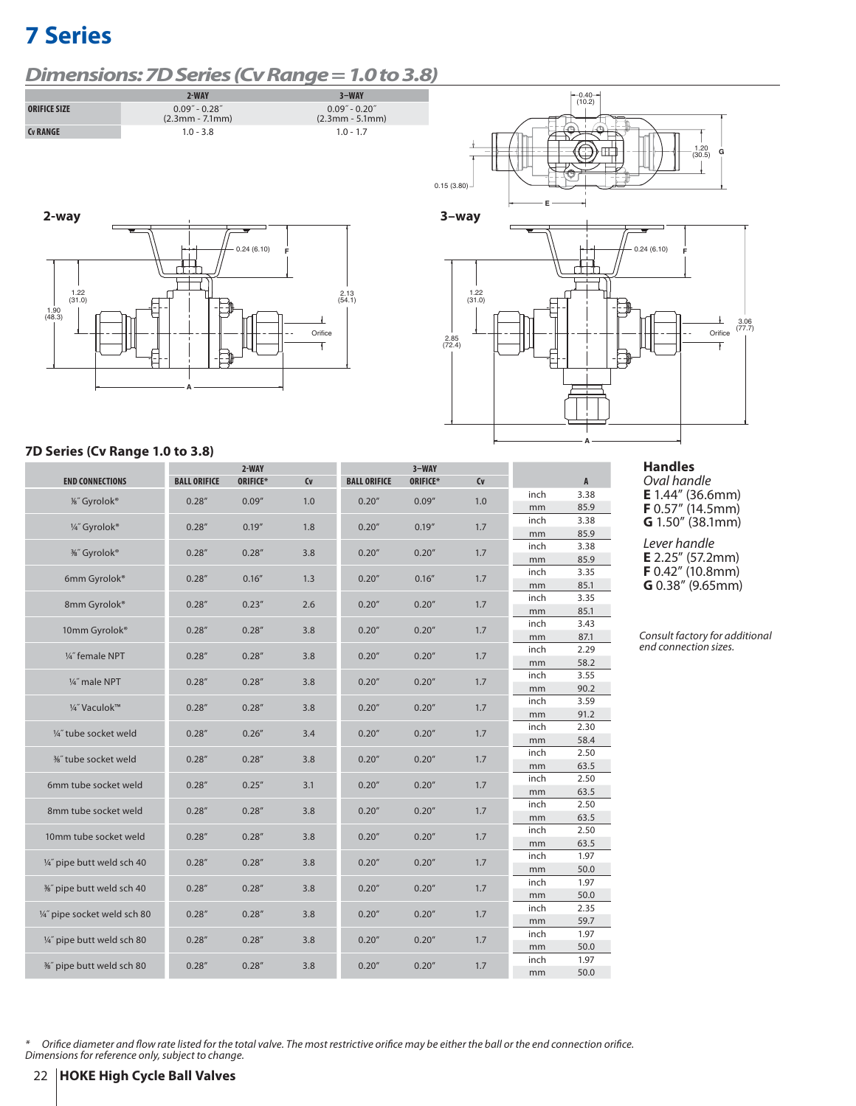# *Dimensions: 7D Series (Cv Range = 1.0 to 3.8)*











### **7D Series (Cv Range 1.0 to 3.8)**

|                              |                     | 2-WAY           |         |                     | $3-WAY$  |     |            |                |
|------------------------------|---------------------|-----------------|---------|---------------------|----------|-----|------------|----------------|
| <b>END CONNECTIONS</b>       | <b>BALL ORIFICE</b> | <b>ORIFICE*</b> | $C_{V}$ | <b>BALL ORIFICE</b> | ORIFICE* | Cv  |            | $\overline{A}$ |
| 1%" Gyrolok®                 | 0.28''              | 0.09''          | 1.0     | 0.20''              | 0.09''   | 1.0 | inch       | 3.38           |
|                              |                     |                 |         |                     |          |     | mm         | 85.9           |
| 1/4" Gyrolok®                | 0.28''              | 0.19''          | 1.8     | 0.20''              | 0.19''   | 1.7 | inch       | 3.38           |
|                              |                     |                 |         |                     |          |     | mm         | 85.9           |
| %" Gyrolok®                  | 0.28''              | 0.28''          | 3.8     | 0.20''              | 0.20''   | 1.7 | inch       | 3.38           |
|                              |                     |                 |         |                     |          |     | mm         | 85.9           |
| 6mm Gyrolok®                 | 0.28''              | 0.16''          | 1.3     | 0.20''              | 0.16''   | 1.7 | inch       | 3.35           |
|                              |                     |                 |         |                     |          |     | mm         | 85.1           |
| 8mm Gyrolok®                 | 0.28''              | 0.23''          | 2.6     | 0.20''              | 0.20''   | 1.7 | inch       | 3.35           |
|                              |                     |                 |         |                     |          |     | mm         | 85.1           |
| 10mm Gyrolok®                | 0.28''              | 0.28''          | 3.8     | 0.20''              | 0.20''   | 1.7 | inch       | 3.43           |
|                              |                     |                 |         |                     |          |     | mm         | 87.1<br>2.29   |
| 1/4" female NPT              | 0.28''              | 0.28''          | 3.8     | 0.20''              | 0.20''   | 1.7 | inch       |                |
|                              |                     |                 |         |                     |          |     | mm<br>inch | 58.2<br>3.55   |
| 1/4" male NPT                | 0.28''              | 0.28''          | 3.8     | 0.20''              | 0.20''   | 1.7 | mm         | 90.2           |
|                              |                     |                 |         |                     |          |     | inch       | 3.59           |
| 1/4" Vaculok™                | 0.28''              | 0.28''          | 3.8     | 0.20''              | 0.20''   | 1.7 | mm         | 91.2           |
|                              |                     |                 |         |                     |          |     | inch       | 2.30           |
| 1/4" tube socket weld        | 0.28''              | 0.26''          | 3.4     | 0.20''              | 0.20''   | 1.7 | mm         | 58.4           |
|                              |                     |                 |         |                     |          |     | inch       | 2.50           |
| %" tube socket weld          | 0.28''              | 0.28''          | 3.8     | 0.20''              | 0.20''   | 1.7 | mm         | 63.5           |
|                              |                     |                 |         |                     |          |     | inch       | 2.50           |
| 6mm tube socket weld         | 0.28''              | 0.25''          | 3.1     | 0.20''              | 0.20''   | 1.7 | mm         | 63.5           |
| 8mm tube socket weld         |                     |                 |         |                     |          |     | inch       | 2.50           |
|                              | 0.28''              | 0.28''          | 3.8     | 0.20''              | 0.20''   | 1.7 | mm         | 63.5           |
| 10mm tube socket weld        | 0.28''              | 0.28''          | 3.8     | 0.20''              | 0.20''   | 1.7 | inch       | 2.50           |
|                              |                     |                 |         |                     |          |     | mm         | 63.5           |
| 1/4" pipe butt weld sch 40   | 0.28''              | 0.28''          | 3.8     | 0.20''              | 0.20''   | 1.7 | inch       | 1.97           |
|                              |                     |                 |         |                     |          |     | mm         | 50.0           |
| %" pipe butt weld sch 40     | 0.28''              | 0.28''          | 3.8     | 0.20''              | 0.20''   | 1.7 | inch       | 1.97           |
|                              |                     |                 |         |                     |          |     | mm         | 50.0           |
| 1/4" pipe socket weld sch 80 | 0.28''              | 0.28''          | 3.8     | 0.20''              | 0.20''   | 1.7 | inch       | 2.35           |
|                              |                     |                 |         |                     |          |     | mm         | 59.7           |
| 1/4" pipe butt weld sch 80   | 0.28''              | 0.28''          | 3.8     | 0.20''              | 0.20''   | 1.7 | inch       | 1.97           |
|                              |                     |                 |         |                     |          |     | mm         | 50.0           |
| %" pipe butt weld sch 80     | 0.28''              | 0.28''          | 3.8     | 0.20''              | 0.20''   | 1.7 | inch       | 1.97           |
|                              |                     |                 |         |                     |          |     | mm         | 50.0           |

### **Handles**

Oval handle **E** 1.44" (36.6mm) **F** 0.57" (14.5mm) **G** 1.50" (38.1mm)

Lever handle **E** 2.25" (57.2mm) **F** 0.42" (10.8mm) **G** 0.38" (9.65mm)

 $^{\ast}$  Orifice diameter and flow rate listed for the total valve. The most restrictive orifice may be either the ball or the end connection orifice. Dimensions for reference only, subject to change.

Consult factory for additional end connection sizes.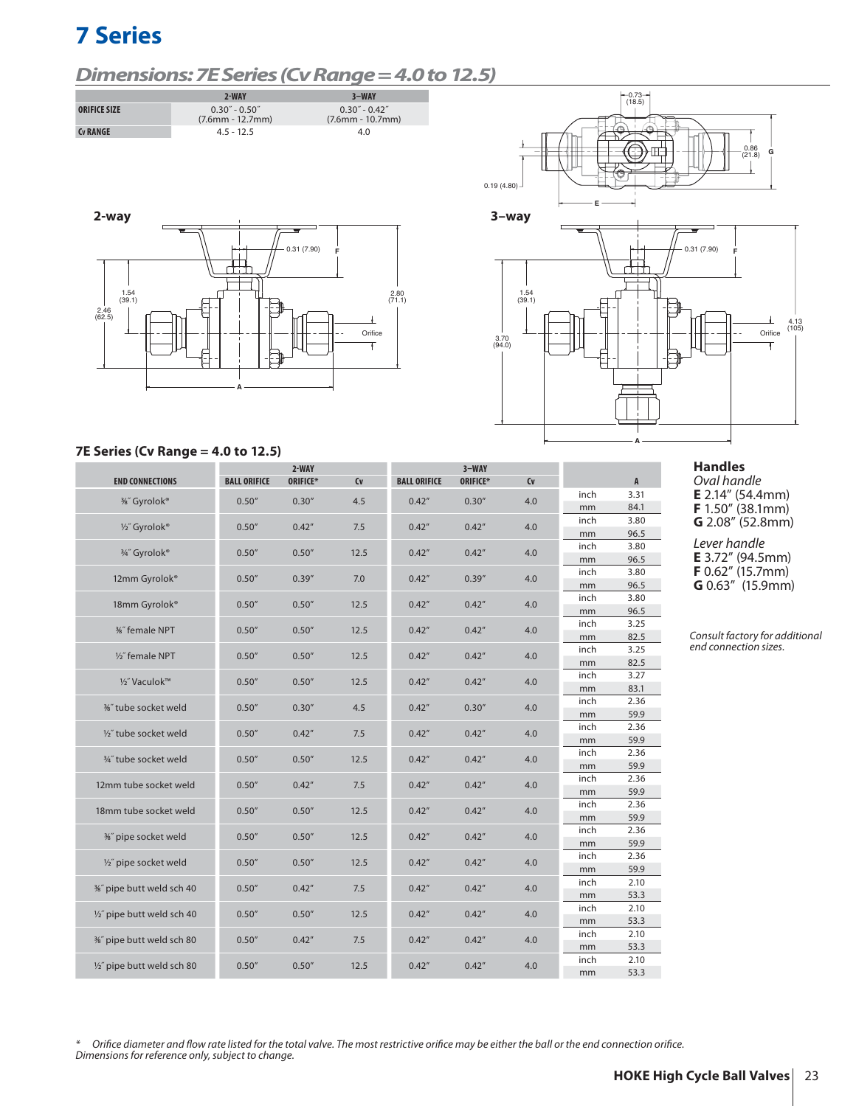## *Dimensions: 7E Series (Cv Range = 4.0 to 12.5)*









#### **7E Series (Cv Range = 4.0 to 12.5)**

|                            |                     | 2-WAY    |      |                     | $3-WAY$  |     |            |                |
|----------------------------|---------------------|----------|------|---------------------|----------|-----|------------|----------------|
| <b>END CONNECTIONS</b>     | <b>BALL ORIFICE</b> | ORIFICE* | Cv   | <b>BALL ORIFICE</b> | ORIFICE* | Cv  |            | $\overline{A}$ |
| %" Gyrolok®                | 0.50''              | 0.30''   | 4.5  | 0.42''              | 0.30''   | 4.0 | inch       | 3.31           |
|                            |                     |          |      |                     |          |     | mm         | 84.1           |
| 1/2" Gyrolok®              | 0.50''              | 0.42''   | 7.5  | 0.42''              | 0.42''   | 4.0 | inch       | 3.80           |
|                            |                     |          |      |                     |          |     | mm         | 96.5           |
| 3/4" Gyrolok®              | 0.50''              | 0.50''   | 12.5 | 0.42''              | 0.42''   | 4.0 | inch       | 3.80           |
|                            |                     |          |      |                     |          |     | mm         | 96.5           |
| 12mm Gyrolok®              | 0.50''              | 0.39''   | 7.0  | 0.42''              | 0.39''   | 4.0 | inch       | 3.80           |
|                            |                     |          |      |                     |          |     | mm         | 96.5           |
| 18mm Gyrolok®              | 0.50''              | 0.50''   | 12.5 | 0.42''              | 0.42''   | 4.0 | inch       | 3.80           |
|                            |                     |          |      |                     |          |     | mm         | 96.5<br>3.25   |
| <b>36"</b> female NPT      | 0.50''              | 0.50''   | 12.5 | 0.42''              | 0.42''   | 4.0 | inch       | 82.5           |
|                            |                     |          |      |                     |          |     | mm<br>inch | 3.25           |
| 1/2" female NPT            | 0.50''              | 0.50''   | 12.5 | 0.42''              | 0.42''   | 4.0 |            | 82.5           |
|                            |                     |          |      |                     |          |     | mm<br>inch | 3.27           |
| 1/2" Vaculok™              | 0.50''              | 0.50''   | 12.5 | 0.42''              | 0.42''   | 4.0 | mm         | 83.1           |
|                            |                     |          |      |                     |          |     | inch       | 2.36           |
| %" tube socket weld        | 0.50''              | 0.30''   | 4.5  | 0.42''              | 0.30''   | 4.0 | mm         | 59.9           |
|                            |                     |          |      |                     |          |     | inch       | 2.36           |
| 1/2" tube socket weld      | 0.50''              | 0.42''   | 7.5  | 0.42''              | 0.42''   | 4.0 | mm         | 59.9           |
|                            |                     |          |      |                     |          |     | inch       | 2.36           |
| 3/4" tube socket weld      | 0.50''              | 0.50''   | 12.5 | 0.42''              | 0.42''   | 4.0 | mm         | 59.9           |
|                            |                     |          |      |                     |          |     | inch       | 2.36           |
| 12mm tube socket weld      | 0.50''              | 0.42''   | 7.5  | 0.42''              | 0.42''   | 4.0 | mm         | 59.9           |
| 18mm tube socket weld      | 0.50''              | 0.50''   | 12.5 | 0.42''              | 0.42''   | 4.0 | inch       | 2.36           |
|                            |                     |          |      |                     |          |     | mm         | 59.9           |
| %" pipe socket weld        | 0.50''              | 0.50''   | 12.5 | 0.42''              | 0.42''   | 4.0 | inch       | 2.36           |
|                            |                     |          |      |                     |          |     | mm         | 59.9           |
| 1/2" pipe socket weld      | 0.50''              | 0.50''   | 12.5 | 0.42''              | 0.42''   | 4.0 | inch       | 2.36           |
|                            |                     |          |      |                     |          |     | mm         | 59.9           |
| %" pipe butt weld sch 40   | 0.50''              | 0.42''   | 7.5  | 0.42''              | 0.42''   | 4.0 | inch       | 2.10           |
|                            |                     |          |      |                     |          |     | mm         | 53.3           |
| 1/2" pipe butt weld sch 40 | 0.50''              | 0.50''   | 12.5 | 0.42''              | 0.42''   | 4.0 | inch       | 2.10           |
|                            |                     |          |      |                     |          |     | mm         | 53.3           |
| %" pipe butt weld sch 80   | 0.50''              | 0.42''   | 7.5  | 0.42''              | 0.42''   | 4.0 | inch       | 2.10           |
|                            |                     |          |      |                     |          |     | mm         | 53.3           |
| 1/2" pipe butt weld sch 80 | 0.50''              | 0.50''   | 12.5 | 0.42''              | 0.42''   | 4.0 | inch       | 2.10           |
|                            |                     |          |      |                     |          |     | mm         | 53.3           |

### **Handles**

Oval handle **E** 2.14" (54.4mm) **F** 1.50" (38.1mm) **G** 2.08" (52.8mm)

Lever handle **E** 3.72" (94.5mm) **F** 0.62" (15.7mm) **G** 0.63" (15.9mm)

Consult factory for additional end connection sizes.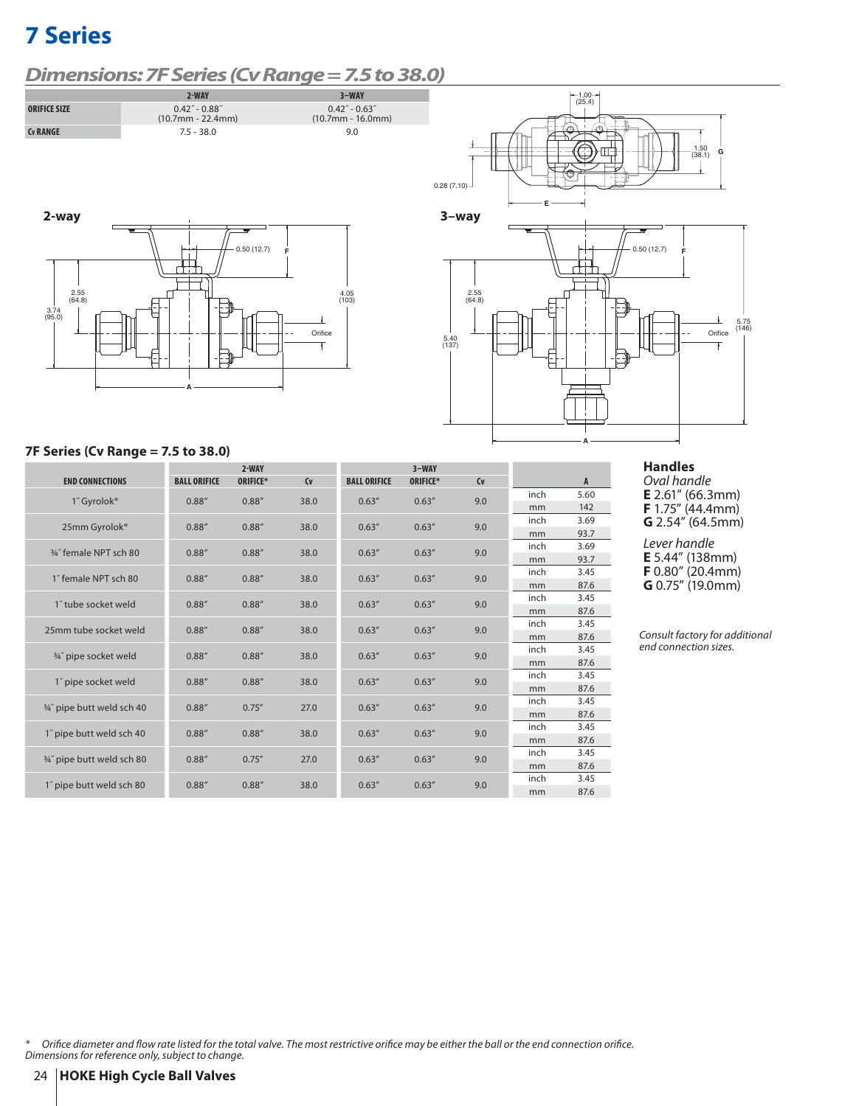# *Dimensions: 7F Series (Cv Range = 7.5 to 38.0)*









### **7F Series (Cv Range = 7.5 to 38.0)**

|                            |                     | $2-WAY$  |                |                     | $3-WAY$  |         |      |              |
|----------------------------|---------------------|----------|----------------|---------------------|----------|---------|------|--------------|
| <b>END CONNECTIONS</b>     | <b>BALL ORIFICE</b> | ORIFICE* | C <sub>V</sub> | <b>BALL ORIFICE</b> | ORIFICE* | $C_{V}$ |      | $\mathsf{A}$ |
| 1" Gyrolok <sup>®</sup>    | 0.88''              | 0.88''   | 38.0           | 0.63''              | 0.63''   | 9.0     | inch | 5.60         |
|                            |                     |          |                |                     |          |         | mm   | 142          |
| 25mm Gyrolok®              | 0.88''              | 0.88''   | 38.0           | 0.63''              | 0.63''   | 9.0     | inch | 3.69         |
|                            |                     |          |                |                     |          |         | mm   | 93.7         |
| 3/4" female NPT sch 80     | 0.88''              | 0.88''   | 38.0           | 0.63''              | 0.63''   | 9.0     | inch | 3.69         |
|                            |                     |          |                |                     |          |         | mm   | 93.7         |
| 1" female NPT sch 80       | 0.88''              | 0.88''   | 38.0           | 0.63''              | 0.63''   | 9.0     | inch | 3.45         |
|                            |                     |          |                |                     |          |         | mm   | 87.6         |
| 1" tube socket weld        | 0.88''              | 0.88''   | 38.0           | 0.63''              | 0.63''   | 9.0     | inch | 3.45         |
|                            |                     |          |                |                     |          |         | mm   | 87.6         |
| 25mm tube socket weld      | 0.88''              | 0.88''   | 38.0           | 0.63''              | 0.63''   | 9.0     | inch | 3.45         |
|                            |                     |          |                |                     |          |         | mm   | 87.6         |
| 3/4" pipe socket weld      | 0.88''              | 0.88''   | 38.0           | 0.63''              | 0.63''   | 9.0     | inch | 3.45         |
|                            |                     |          |                |                     |          |         | mm   | 87.6         |
| 1" pipe socket weld        | 0.88''              | 0.88''   | 38.0           | 0.63''              | 0.63''   | 9.0     | inch | 3.45         |
|                            |                     |          |                |                     |          |         | mm   | 87.6         |
| 3/4" pipe butt weld sch 40 | 0.88''              | 0.75''   | 27.0           | 0.63''              | 0.63''   | 9.0     | inch | 3.45         |
|                            |                     |          |                |                     |          |         | mm   | 87.6         |
| 1" pipe butt weld sch 40   | 0.88''              | 0.88''   | 38.0           | 0.63''              | 0.63''   | 9.0     | inch | 3.45         |
|                            |                     |          |                |                     |          |         | mm   | 87.6         |
| 3/4" pipe butt weld sch 80 | 0.88''              | 0.75''   | 27.0           | 0.63''              | 0.63''   | 9.0     | inch | 3.45         |
|                            |                     |          |                |                     |          |         | mm   | 87.6         |
| 1" pipe butt weld sch 80   | 0.88''              | 0.88''   | 38.0           | 0.63''              | 0.63''   | 9.0     | inch | 3.45         |
|                            |                     |          |                |                     |          |         | mm   | 87.6         |

### **Handles**

Oval handle **E** 2.61" (66.3mm) **F** 1.75" (44.4mm) **G** 2.54" (64.5mm)

Lever handle **E** 5.44" (138mm) **F** 0.80" (20.4mm) **G** 0.75" (19.0mm)

Consult factory for additional end connection sizes.

 $^{\ast}$  Orifice diameter and flow rate listed for the total valve. The most restrictive orifice may be either the ball or the end connection orifice. Dimensions for reference only, subject to change.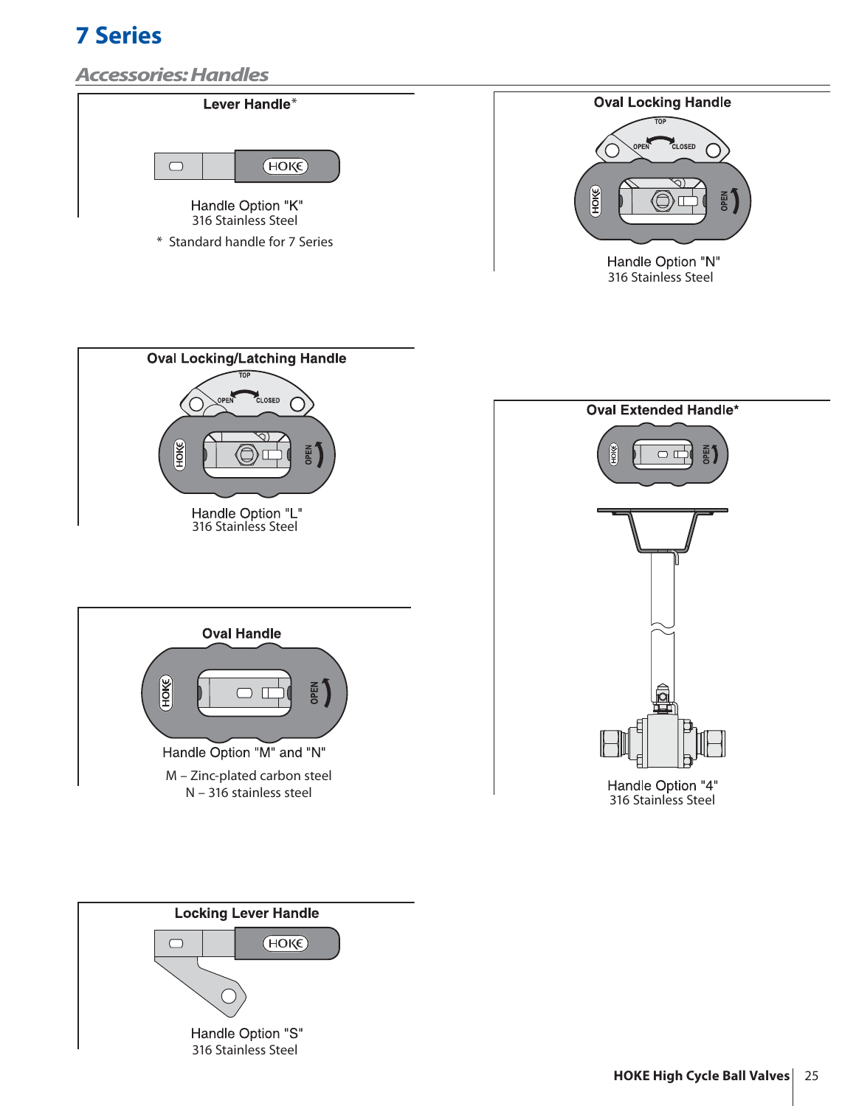# *Accessories: Handles*



\* Standard handle for 7 Series



316 Stainless Steel



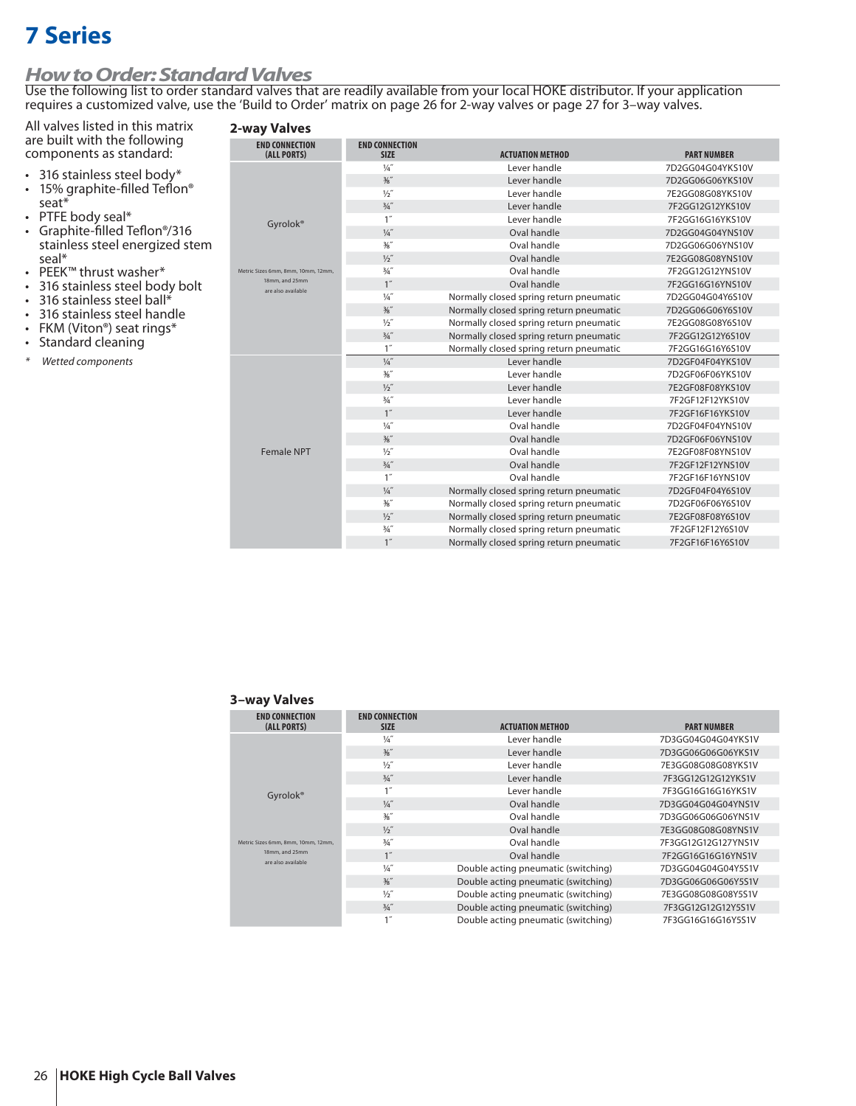# *How to Order: Standard Valves*

Use the following list to order standard valves that are readily available from your local HOKE distributor. If your application requires a customized valve, use the 'Build to Order' matrix on page 26 for 2-way valves or page 27 for 3–way valves.

### **2-way Valves**

All valves listed in this matrix are built with the following components as standard:

- 316 stainless steel body\*
- 15% graphite-filled Teflon<sup>®</sup><br>seat\*
- 
- PTFE body seal\*<br>• Graphite-filled Teflon®/316 stainless steel energized stem<br>seal\*
- 
- PEEK™ thrust washer\*<br>• 316 stainless steel body bolt<br>• 316 stainless steel handle<br>• FKM (Viton®) seat rings\*<br>• Standard cleaning
- 
- 
- 
- 
- \* Wetted components

| <b>END CONNECTION</b><br>(ALL PORTS) | <b>END CONNECTION</b><br><b>SIZE</b> | <b>ACTUATION METHOD</b>                 | <b>PART NUMBER</b> |
|--------------------------------------|--------------------------------------|-----------------------------------------|--------------------|
|                                      | $\frac{1}{4}$                        | Lever handle                            | 7D2GG04G04YKS10V   |
|                                      | $\frac{3}{8}$ "                      | Lever handle                            | 7D2GG06G06YKS10V   |
|                                      | 1/2''                                | Lever handle                            | 7E2GG08G08YKS10V   |
|                                      | $\frac{3}{4}$ "                      | Lever handle                            | 7F2GG12G12YKS10V   |
| Gyrolok <sup>®</sup>                 | 1''                                  | Lever handle                            | 7F2GG16G16YKS10V   |
|                                      | $\frac{1}{4}$                        | Oval handle                             | 7D2GG04G04YNS10V   |
|                                      | $\frac{3}{8}$ "                      | Oval handle                             | 7D2GG06G06YNS10V   |
|                                      | $\frac{1}{2}$                        | Oval handle                             | 7E2GG08G08YNS10V   |
| Metric Sizes 6mm, 8mm, 10mm, 12mm,   | $\frac{3}{4}$ "                      | Oval handle                             | 7F2GG12G12YNS10V   |
| 18mm, and 25mm<br>are also available | 1''                                  | Oval handle                             | 7F2GG16G16YNS10V   |
|                                      | $\frac{1}{4}$                        | Normally closed spring return pneumatic | 7D2GG04G04Y6S10V   |
|                                      | $\frac{3}{8}$ "                      | Normally closed spring return pneumatic | 7D2GG06G06Y6S10V   |
|                                      | $\frac{1}{2}$                        | Normally closed spring return pneumatic | 7E2GG08G08Y6S10V   |
|                                      | $\frac{3}{4}$ "                      | Normally closed spring return pneumatic | 7F2GG12G12Y6S10V   |
|                                      | 1''                                  | Normally closed spring return pneumatic | 7F2GG16G16Y6S10V   |
|                                      | $\frac{1}{4}$                        | Lever handle                            | 7D2GF04F04YKS10V   |
|                                      | $\frac{36}{8}$                       | Lever handle                            | 7D2GF06F06YKS10V   |
|                                      | $\frac{1}{2}$                        | Lever handle                            | 7E2GF08F08YKS10V   |
|                                      | $3/4$ "                              | Lever handle                            | 7F2GF12F12YKS10V   |
|                                      | 1''                                  | Lever handle                            | 7F2GF16F16YKS10V   |
|                                      | $\frac{1}{4}$                        | Oval handle                             | 7D2GF04F04YNS10V   |
|                                      | $\frac{3}{8}$ "                      | Oval handle                             | 7D2GF06F06YNS10V   |
| <b>Female NPT</b>                    | $\frac{1}{2}$                        | Oval handle                             | 7E2GF08F08YNS10V   |
|                                      | $3/4$ "                              | Oval handle                             | 7F2GF12F12YNS10V   |
|                                      | 1''                                  | Oval handle                             | 7F2GF16F16YNS10V   |
|                                      | $\frac{1}{4}$                        | Normally closed spring return pneumatic | 7D2GF04F04Y6S10V   |
|                                      | $\frac{3}{8}$ "                      | Normally closed spring return pneumatic | 7D2GF06F06Y6S10V   |
|                                      | $\frac{1}{2}$                        | Normally closed spring return pneumatic | 7E2GF08F08Y6S10V   |
|                                      | $\frac{3}{4}$ "                      | Normally closed spring return pneumatic | 7F2GF12F12Y6S10V   |
|                                      | 1''                                  | Normally closed spring return pneumatic | 7F2GF16F16Y6S10V   |

#### **3–way Valves**

| <b>END CONNECTION</b>                | <b>END CONNECTION</b> |                                     |                     |
|--------------------------------------|-----------------------|-------------------------------------|---------------------|
| (ALL PORTS)                          | <b>SIZE</b>           | <b>ACTUATION METHOD</b>             | <b>PART NUMBER</b>  |
|                                      | $\frac{1}{4}$         | Lever handle                        | 7D3GG04G04G04YKS1V  |
|                                      | $\frac{3}{8}$ "       | Lever handle                        | 7D3GG06G06G06YKS1V  |
|                                      | $1/5$ "               | Lever handle                        | 7E3GG08G08G08YKS1V  |
|                                      | $3/4$ "               | Lever handle                        | 7F3GG12G12G12YKS1V  |
| Gyrolok <sup>®</sup>                 | 1 <sup>''</sup>       | Lever handle                        | 7F3GG16G16G16YKS1V  |
|                                      | $\frac{1}{4}$         | Oval handle                         | 7D3GG04G04G04YNS1V  |
|                                      | $\frac{3}{8}$ "       | Oval handle                         | 7D3GG06G06G06YNS1V  |
| Metric Sizes 6mm, 8mm, 10mm, 12mm,   | 1/2                   | Oval handle                         | 7E3GG08G08G08YNS1V  |
|                                      | $3/4$ "               | Oval handle                         | 7F3GG12G12G127YNS1V |
| 18mm, and 25mm<br>are also available | 1''                   | Oval handle                         | 7F2GG16G16G16YNS1V  |
|                                      | $\frac{1}{4}$         | Double acting pneumatic (switching) | 7D3GG04G04G04Y5S1V  |
|                                      | $\frac{3}{8}$ "       | Double acting pneumatic (switching) | 7D3GG06G06G06Y5S1V  |
|                                      | 1/2                   | Double acting pneumatic (switching) | 7E3GG08G08G08Y5S1V  |
|                                      | $3/4$ "               | Double acting pneumatic (switching) | 7F3GG12G12G12Y5S1V  |
|                                      | 1''                   | Double acting pneumatic (switching) | 7F3GG16G16G16Y5S1V  |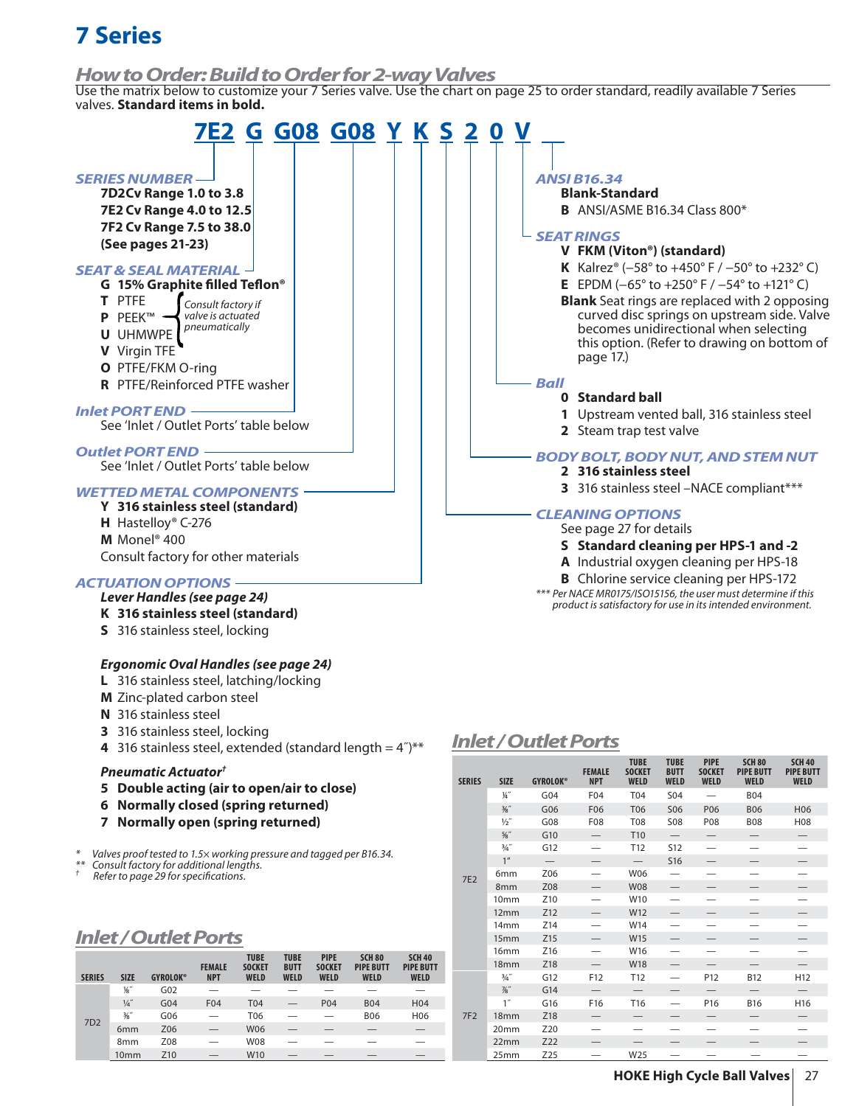### *How to Order: Build to Order for 2-way Valves*

Use the matrix below to customize your 7 Series valve. Use the chart on page 25 to order standard, readily available 7 Series valves. **Standard items in bold.**



7F2

† Refer to page 29 for specifications.

## *Inlet / Outlet Ports*

| <b>SERIES</b>   | <b>SIZE</b>      | <b>GYROLOK®</b> | <b>FEMALE</b><br><b>NPT</b> | <b>TUBE</b><br><b>SOCKET</b><br><b>WELD</b> | <b>TUBE</b><br><b>BUTT</b><br><b>WELD</b> | <b>PIPE</b><br><b>SOCKET</b><br><b>WELD</b> | <b>SCH 80</b><br><b>PIPE BUTT</b><br><b>WELD</b> | <b>SCH 40</b><br><b>PIPE BUTT</b><br><b>WELD</b> |
|-----------------|------------------|-----------------|-----------------------------|---------------------------------------------|-------------------------------------------|---------------------------------------------|--------------------------------------------------|--------------------------------------------------|
|                 | 1/8"             | G02             |                             |                                             |                                           |                                             |                                                  |                                                  |
| 7D <sub>2</sub> | $\frac{1}{4}$    | G04             | F <sub>04</sub>             | <b>T04</b>                                  |                                           | P04                                         | <b>B04</b>                                       | H <sub>04</sub>                                  |
|                 | $\frac{3}{8}$ "  | G06             |                             | T06                                         |                                           |                                             | <b>B06</b>                                       | H06                                              |
|                 | 6 <sub>mm</sub>  | Z06             |                             | <b>W06</b>                                  |                                           |                                             |                                                  | $\overline{\phantom{0}}$                         |
|                 | 8 <sub>mm</sub>  | Z08             |                             | <b>W08</b>                                  |                                           |                                             |                                                  |                                                  |
|                 | 10 <sub>mm</sub> | Z <sub>10</sub> |                             | W <sub>10</sub>                             |                                           |                                             |                                                  |                                                  |

8mm Z08 — W08 — — — — 10mm Z10 — W10 — — — — 12mm Z12 — W12 — — — — 14mm Z14 — W14 — — — — 15mm Z15 — W15 — — — — 16mm Z16 — W16 — — — — 18mm Z18 — W18 — — — —

¾˝ G12 F12 T12 — P12 B12 H12 7⁄8˝ G14 — — — — — — 1˝ G16 F16 T16 — P16 B16 H16 18mm Z18 — — — — — — — 20mm Z20 — — — — — — — 22mm Z22 — — — — — — — 25mm Z25 — W25 — — — —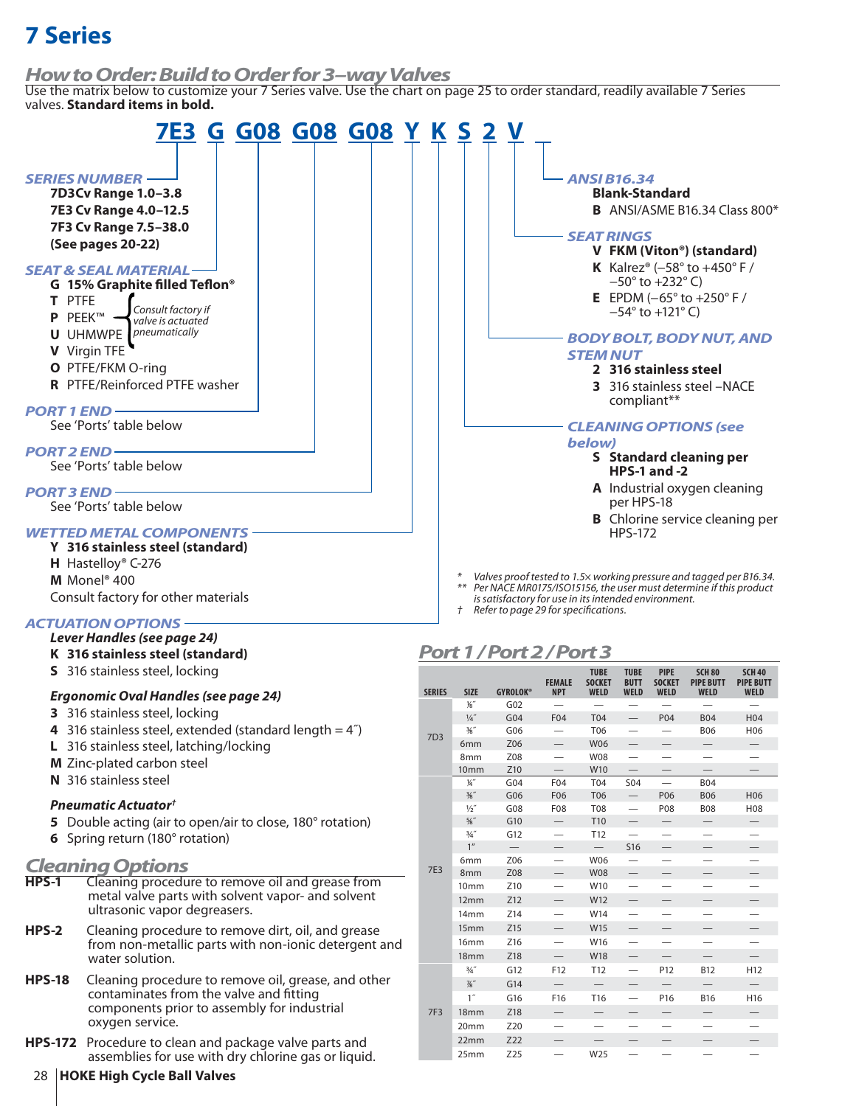## *How to Order: Build to Order for 3–way Valves*

Use the matrix below to customize your 7 Series valve. Use the chart on page 25 to order standard, readily available 7 Series valves. **Standard items in bold.**



- **M** Zinc-plated carbon steel
- **N** 316 stainless steel

### *Pneumatic Actuator†*

- **5** Double acting (air to open/air to close, 180° rotation)
- **6** Spring return (180° rotation)

# *Cleaning Options*

- **HPS-1** Cleaning procedure to remove oil and grease from metal valve parts with solvent vapor- and solvent ultrasonic vapor degreasers.
- **HPS-2** Cleaning procedure to remove dirt, oil, and grease from non-metallic parts with non-ionic detergent and water solution.
- **HPS-18** Cleaning procedure to remove oil, grease, and other contaminates from the valve and fitting components prior to assembly for industrial oxygen service.
- **HPS-172** Procedure to clean and package valve parts and assemblies for use with dry chlorine gas or liquid.

#### 8mm Z08 — W08 — — — — 10mm Z10 — W10 — — — — 7E3 1⁄4˝ G04 F04 T04 S04 — B04 3⁄8˝ G06 F06 T06 — P06 B06 H06 ½˝ G08 F08 T08 — P08 B08 H08 5⁄8˝ G10 — T10 — — — — ¾˝ G12 — T12 — — — — 1" — — — S16 — — — 6mm Z06 — W06 — — — — 8mm Z08 — W08 — — — — 10mm Z10 — W10 — — — — 12mm Z12 — W12 — — — — 14mm Z14 — W14 — — — — 15mm Z15 — W15 — — — — 16mm Z16 — W16 — — — — 18mm Z18 — W18 — — — — 7F3 ¾˝ G12 F12 T12 — P12 B12 H12 7⁄8˝ G14 — — — — — — 1˝ G16 F16 T16 — P16 B16 H16 18mm Z18 — — — — — — — 20mm Z20 — — — — — — 22mm Z22 — — — — — — 25mm Z25 — W25 — — — —

## 28 **HOKE High Cycle Ball Valves**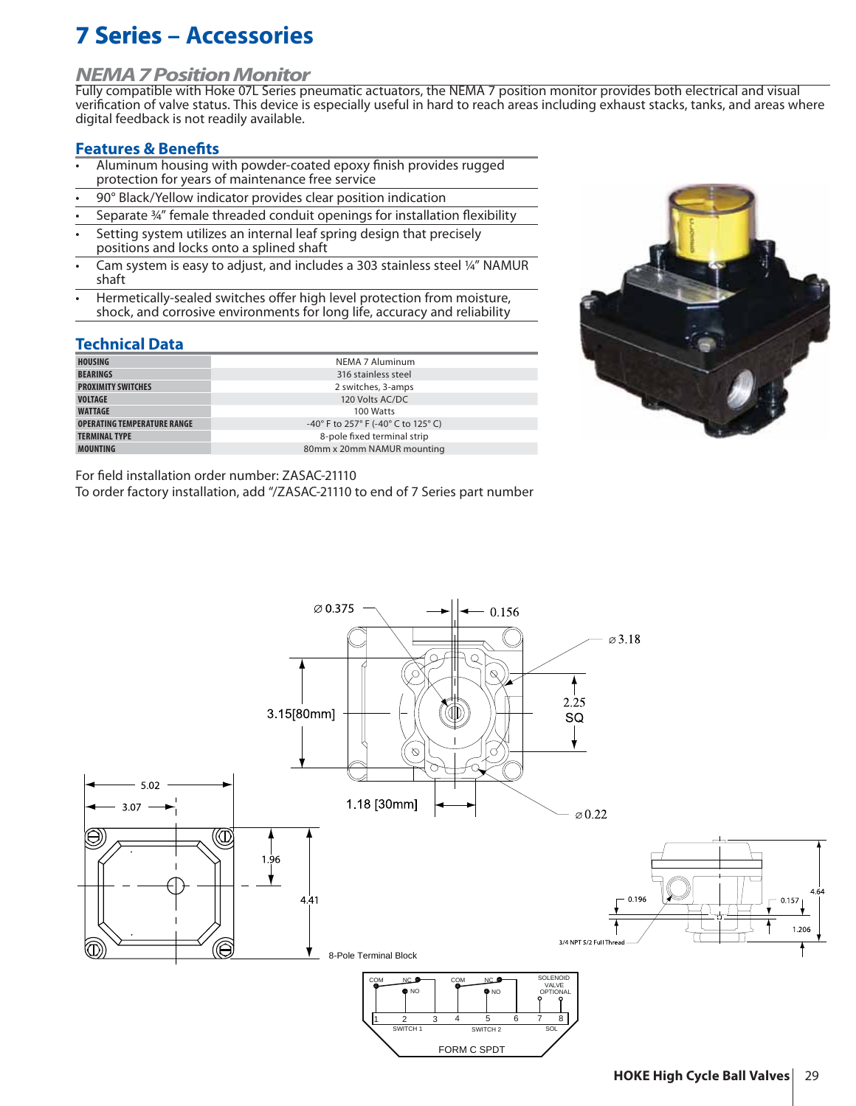# **7 Series Series – Accessories**

## *NEMA 7 Position Monitor*

Fully compatible with Hoke 07L Series pneumatic actuators, the NEMA 7 position monitor provides both electrical and visual verification of valve status. This device is especially useful in hard to reach areas including exhaust stacks, tanks, and areas where digital feedback is not readily available.

### **Features & Benefits**

- Aluminum housing with powder-coated epoxy finish provides rugged protection for years of maintenance free service
- 90° Black/Yellow indicator provides clear position indication
- Separate 34" female threaded conduit openings for installation flexibility
- Setting system utilizes an internal leaf spring design that precisely positions and locks onto a splined shaft
- Cam system is easy to adjust, and includes a 303 stainless steel ¼" NAMUR shaft
- Hermetically-sealed switches offer high level protection from moisture, shock, and corrosive environments for long life, accuracy and reliability

## **Technical Data**

| <b>HOUSING</b>                     | NEMA 7 Aluminum                                                             |
|------------------------------------|-----------------------------------------------------------------------------|
| <b>BEARINGS</b>                    | 316 stainless steel                                                         |
| <b>PROXIMITY SWITCHES</b>          | 2 switches, 3-amps                                                          |
| <b>VOLTAGE</b>                     | 120 Volts AC/DC                                                             |
| <b>WATTAGE</b>                     | 100 Watts                                                                   |
| <b>OPERATING TEMPERATURE RANGE</b> | -40 $^{\circ}$ F to 257 $^{\circ}$ F (-40 $^{\circ}$ C to 125 $^{\circ}$ C) |
| <b>TERMINAL TYPE</b>               | 8-pole fixed terminal strip                                                 |
| <b>MOUNTING</b>                    | 80mm x 20mm NAMUR mounting                                                  |

For field installation order number: ZASAC-21110

To order factory installation, add "/ZASAC-21110 to end of 7 Series part number



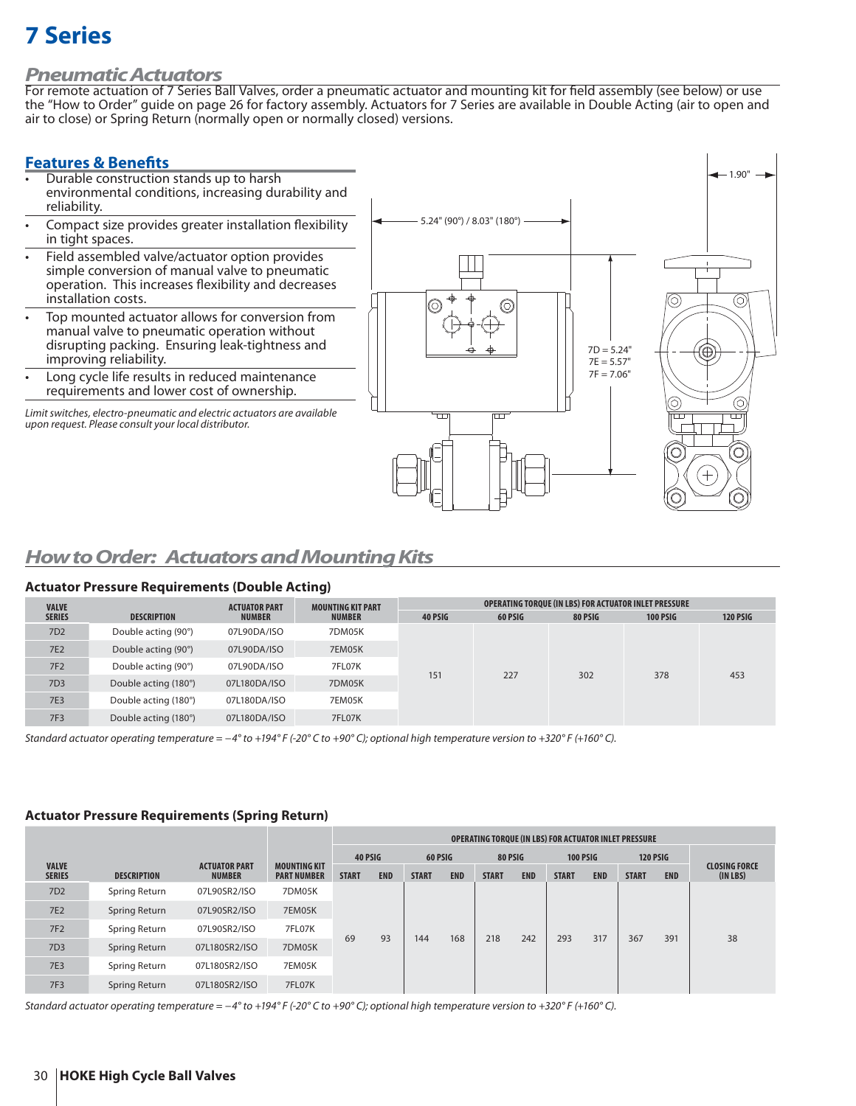### *Pneumatic Actuators*

For remote actuation of 7 Series Ball Valves, order a pneumatic actuator and mounting kit for field assembly (see below) or use the "How to Order" guide on page 26 for factory assembly. Actuators for 7 Series are available in Double Acting (air to open and air to close) or Spring Return (normally open or normally closed) versions.

### **Features & Benefits**

- Durable construction stands up to harsh environmental conditions, increasing durability and reliability.
- Compact size provides greater installation flexibility in tight spaces.
- Field assembled valve/actuator option provides simple conversion of manual valve to pneumatic operation. This increases flexibility and decreases installation costs.
- Top mounted actuator allows for conversion from manual valve to pneumatic operation without disrupting packing. Ensuring leak-tightness and improving reliability.
- Long cycle life results in reduced maintenance requirements and lower cost of ownership.

Limit switches, electro-pneumatic and electric actuators are available upon request. Please consult your local distributor.



## *How to Order: Actuators and Mounting Kits*

### **Actuator Pressure Requirements (Double Acting)**

| <b>VALVE</b>    |                      | <b>ACTUATOR PART</b> | <b>MOUNTING KIT PART</b> | OPERATING TOROUE (IN LBS) FOR ACTUATOR INLET PRESSURE |         |         |                 |                 |  |  |
|-----------------|----------------------|----------------------|--------------------------|-------------------------------------------------------|---------|---------|-----------------|-----------------|--|--|
| <b>SERIES</b>   | <b>DESCRIPTION</b>   | <b>NUMBER</b>        | <b>NUMBER</b>            | 40 PSIG                                               | 60 PSIG | 80 PSIG | <b>100 PSIG</b> | <b>120 PSIG</b> |  |  |
| 7D <sub>2</sub> | Double acting (90°)  | 07L90DA/ISO          | 7DM05K                   |                                                       | 227     | 302     | 378             | 453             |  |  |
| <b>7E2</b>      | Double acting (90°)  | 07L90DA/ISO          | 7EM05K                   |                                                       |         |         |                 |                 |  |  |
| <b>7F2</b>      | Double acting (90°)  | 07L90DA/ISO          | 7FL07K                   | 151                                                   |         |         |                 |                 |  |  |
| 7D <sub>3</sub> | Double acting (180°) | 07L180DA/ISO         | 7DM05K                   |                                                       |         |         |                 |                 |  |  |
| <b>7E3</b>      | Double acting (180°) | 07L180DA/ISO         | 7EM05K                   |                                                       |         |         |                 |                 |  |  |
| <b>7F3</b>      | Double acting (180°) | 07L180DA/ISO         | 7FL07K                   |                                                       |         |         |                 |                 |  |  |

Standard actuator operating temperature = −4° to +194° F (-20° C to +90° C); optional high temperature version to +320° F (+160° C).

### **Actuator Pressure Requirements (Spring Return)**

|                               |                    |                                       |                                           | <b>OPERATING TOROUE (IN LBS) FOR ACTUATOR INLET PRESSURE</b> |            |              |            |              |            |              |                 |                 |            |                                  |
|-------------------------------|--------------------|---------------------------------------|-------------------------------------------|--------------------------------------------------------------|------------|--------------|------------|--------------|------------|--------------|-----------------|-----------------|------------|----------------------------------|
|                               |                    |                                       |                                           | 40 PSIG                                                      |            | 60 PSIG      |            | 80 PSIG      |            |              | <b>100 PSIG</b> | <b>120 PSIG</b> |            |                                  |
| <b>VALVE</b><br><b>SERIES</b> | <b>DESCRIPTION</b> | <b>ACTUATOR PART</b><br><b>NUMBER</b> | <b>MOUNTING KIT</b><br><b>PART NUMBER</b> | <b>START</b>                                                 | <b>END</b> | <b>START</b> | <b>END</b> | <b>START</b> | <b>END</b> | <b>START</b> | <b>END</b>      | <b>START</b>    | <b>END</b> | <b>CLOSING FORCE</b><br>(IN LBS) |
| 7D <sub>2</sub>               | Spring Return      | 07L90SR2/ISO                          | 7DM05K                                    | 69                                                           |            |              | 144<br>168 | 218          | 242        | 293          | 317             | 367             |            | 38                               |
| <b>7E2</b>                    | Spring Return      | 07L90SR2/ISO                          | 7EM05K                                    |                                                              | 93         |              |            |              |            |              |                 |                 |            |                                  |
| <b>7F2</b>                    | Spring Return      | 07L90SR2/ISO                          | 7FL07K                                    |                                                              |            |              |            |              |            |              |                 |                 | 391        |                                  |
| 7D3                           | Spring Return      | 07L180SR2/ISO                         | 7DM05K                                    |                                                              |            |              |            |              |            |              |                 |                 |            |                                  |
| <b>7E3</b>                    | Spring Return      | 07L180SR2/ISO                         | 7EM05K                                    |                                                              |            |              |            |              |            |              |                 |                 |            |                                  |
| 7F3                           | Spring Return      | 07L180SR2/ISO                         | 7FL07K                                    |                                                              |            |              |            |              |            |              |                 |                 |            |                                  |

Standard actuator operating temperature = −4° to +194° F (-20° C to +90° C); optional high temperature version to +320° F (+160° C).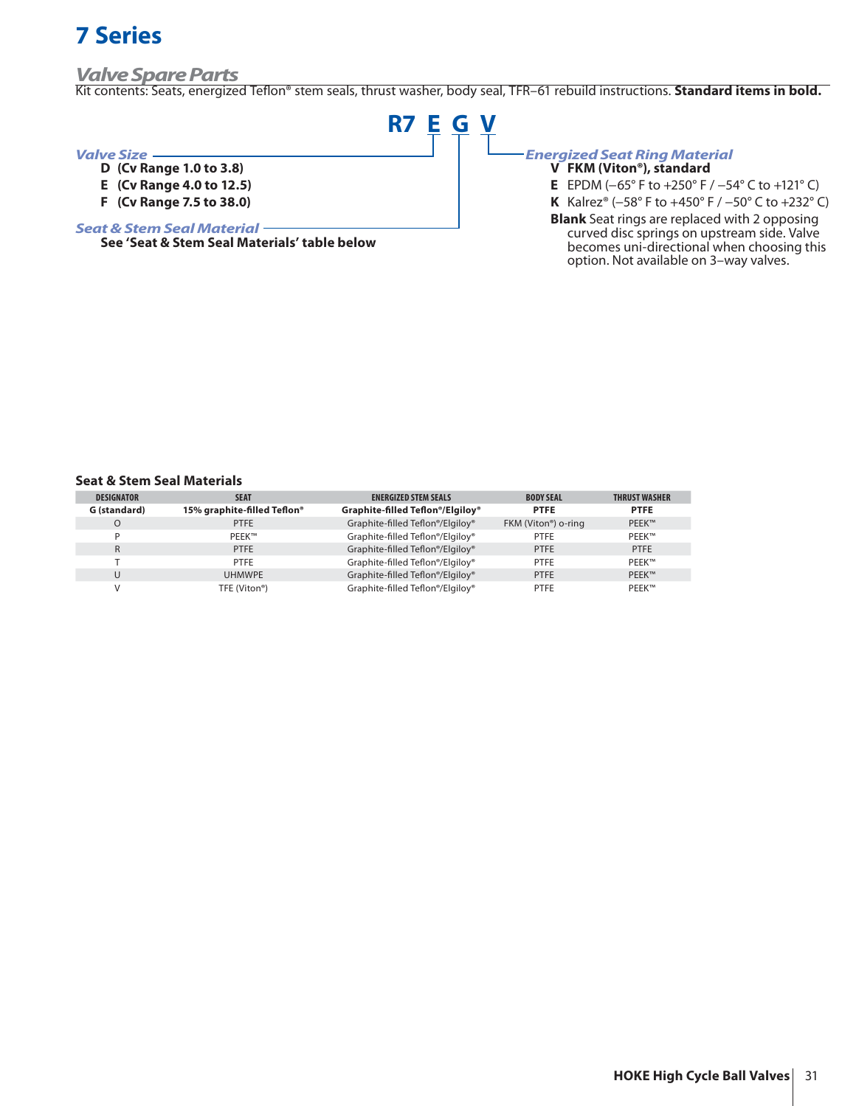### *Valve Spare Parts*

Kit contents: Seats, energized Teflon® stem seals, thrust washer, body seal, TFR-61 rebuild instructions. **Standard items in bold.** 

**R7 E G V**

#### *Valve Size*

- **D (Cv Range 1.0 to 3.8)**
- **E (Cv Range 4.0 to 12.5)**
- **F (Cv Range 7.5 to 38.0)**

#### *Seat & Stem Seal Material*

**See 'Seat & Stem Seal Materials' table below**

## *Energized Seat Ring Material*

- **V FKM (Viton®), standard**
- **E** EPDM (−65° F to +250° F / −54° C to +121° C)

**K** Kalrez® (−58° F to +450° F / −50° C to +232° C) **Blank** Seat rings are replaced with 2 opposing curved disc springs on upstream side. Valve becomes uni-directional when choosing this

option. Not available on 3–way valves.

#### **Seat & Stem Seal Materials**

| <b>DESIGNATOR</b> | <b>SEAT</b>                 | <b>ENERGIZED STEM SEALS</b>      | <b>BODY SEAL</b>                 | <b>THRUST WASHER</b> |
|-------------------|-----------------------------|----------------------------------|----------------------------------|----------------------|
| G (standard)      | 15% graphite-filled Teflon® | Graphite-filled Teflon®/Elgiloy® | <b>PTFE</b>                      | <b>PTFE</b>          |
| O                 | <b>PTFE</b>                 | Graphite-filled Teflon®/Elgiloy® | FKM (Viton <sup>®</sup> ) o-ring | <b>PEEK™</b>         |
|                   | PEEK™                       | Graphite-filled Teflon®/Elgiloy® | <b>PTFE</b>                      | <b>PEEK™</b>         |
| R                 | <b>PTFE</b>                 | Graphite-filled Teflon®/Elgiloy® | <b>PTFE</b>                      | <b>PTFE</b>          |
|                   | PTFE                        | Graphite-filled Teflon®/Elgiloy® | <b>PTFE</b>                      | <b>PEEK™</b>         |
| U                 | <b>UHMWPE</b>               | Graphite-filled Teflon®/Elgiloy® | <b>PTFE</b>                      | <b>PEEK™</b>         |
|                   | TFE (Viton®)                | Graphite-filled Teflon®/Elgiloy® | <b>PTFE</b>                      | <b>PEEK™</b>         |